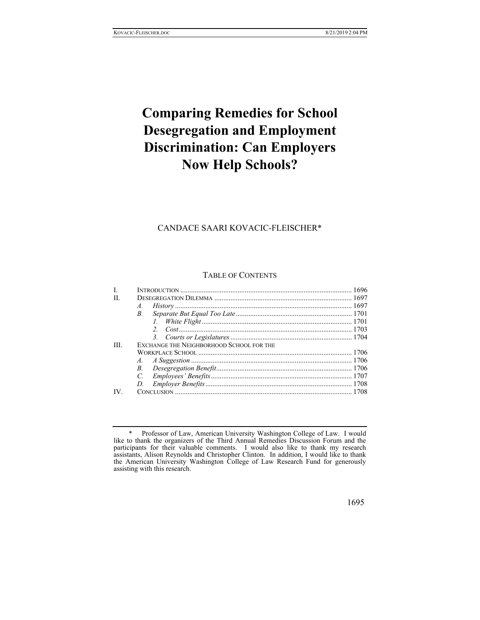# **Comparing Remedies for School Desegregation and Employment Discrimination: Can Employers Now Help Schools?**

## CANDACE SAARI KOVACIC-FLEISCHER\*

#### TABLE OF CONTENTS

| H.  |                                          |  |
|-----|------------------------------------------|--|
|     | A.                                       |  |
|     | В.                                       |  |
|     |                                          |  |
|     |                                          |  |
|     |                                          |  |
| HL. | EXCHANGE THE NEIGHBORHOOD SCHOOL FOR THE |  |
|     |                                          |  |
|     |                                          |  |
|     |                                          |  |
|     | $\mathcal{C}$                            |  |
|     | D.                                       |  |
| IV. |                                          |  |

 <sup>\*</sup> Professor of Law, American University Washington College of Law. I would like to thank the organizers of the Third Annual Remedies Discussion Forum and the participants for their valuable comments. I would also like to thank my research assistants, Alison Reynolds and Christopher Clinton. In addition, I would like to thank the American University Washington College of Law Research Fund for generously assisting with this research.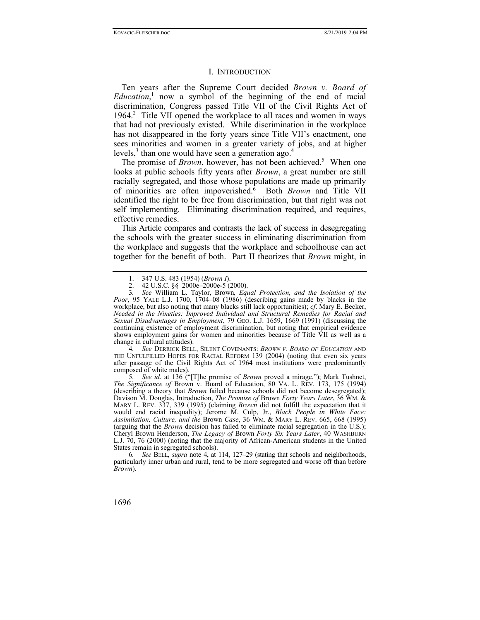#### I. INTRODUCTION

Ten years after the Supreme Court decided *Brown v. Board of Education*, 1 now a symbol of the beginning of the end of racial discrimination, Congress passed Title VII of the Civil Rights Act of 1964.<sup>2</sup> Title VII opened the workplace to all races and women in ways that had not previously existed. While discrimination in the workplace has not disappeared in the forty years since Title VII's enactment, one sees minorities and women in a greater variety of jobs, and at higher levels, $3$  than one would have seen a generation ago.<sup>4</sup>

The promise of *Brown*, however, has not been achieved.<sup>5</sup> When one looks at public schools fifty years after *Brown*, a great number are still racially segregated, and those whose populations are made up primarily of minorities are often impoverished.6 Both *Brown* and Title VII identified the right to be free from discrimination, but that right was not self implementing. Eliminating discrimination required, and requires, effective remedies.

This Article compares and contrasts the lack of success in desegregating the schools with the greater success in eliminating discrimination from the workplace and suggests that the workplace and schoolhouse can act together for the benefit of both. Part II theorizes that *Brown* might, in

4*. See* DERRICK BELL, SILENT COVENANTS: *BROWN V. BOARD OF EDUCATION* AND THE UNFULFILLED HOPES FOR RACIAL REFORM 139 (2004) (noting that even six years after passage of the Civil Rights Act of 1964 most institutions were predominantly composed of white males).

5*. See id*. at 136 ("[T]he promise of *Brown* proved a mirage."); Mark Tushnet, *The Significance of* Brown v. Board of Education, 80 VA. L. REV. 173, 175 (1994) (describing a theory that *Brown* failed because schools did not become desegregated); Davison M. Douglas, Introduction, *The Promise of* Brown *Forty Years Later*, 36 WM. & MARY L. REV. 337, 339 (1995) (claiming *Brown* did not fulfill the expectation that it would end racial inequality); Jerome M. Culp, Jr., *Black People in White Face: Assimilation, Culture, and the* Brown *Case*, 36 WM. & MARY L. REV. 665, 668 (1995) (arguing that the *Brown* decision has failed to eliminate racial segregation in the U.S.); Cheryl Brown Henderson, *The Legacy of* Brown *Forty Six Years Later*, 40 WASHBURN L.J. 70, 76 (2000) (noting that the majority of African-American students in the United States remain in segregated schools).

6*. See* BELL, *supra* note 4, at 114, 127–29 (stating that schools and neighborhoods, particularly inner urban and rural, tend to be more segregated and worse off than before *Brown*).

 <sup>1. 347</sup> U.S. 483 (1954) (*Brown I*).

 <sup>2. 42</sup> U.S.C. §§ 2000e–2000e-5 (2000).

<sup>3</sup>*. See* William L. Taylor, Brown*, Equal Protection, and the Isolation of the Poor*, 95 YALE L.J. 1700, 1704–08 (1986) (describing gains made by blacks in the workplace, but also noting that many blacks still lack opportunities); *cf*. Mary E. Becker, *Needed in the Nineties: Improved Individual and Structural Remedies for Racial and Sexual Disadvantages in Employment*, 79 GEO. L.J. 1659, 1669 (1991) (discussing the continuing existence of employment discrimination, but noting that empirical evidence shows employment gains for women and minorities because of Title VII as well as a change in cultural attitudes).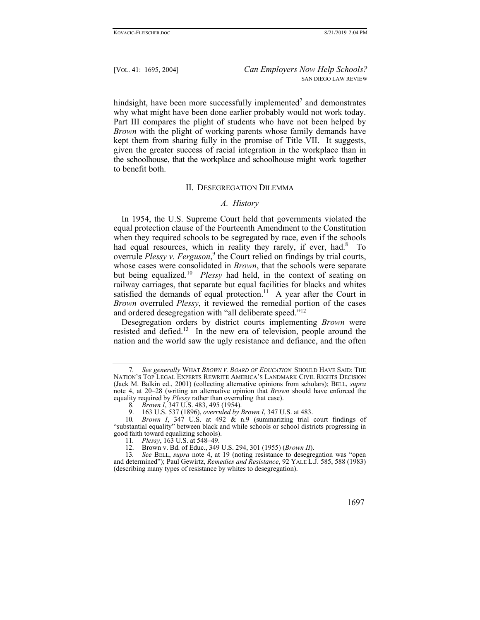hindsight, have been more successfully implemented<sup>7</sup> and demonstrates why what might have been done earlier probably would not work today. Part III compares the plight of students who have not been helped by *Brown* with the plight of working parents whose family demands have kept them from sharing fully in the promise of Title VII. It suggests, given the greater success of racial integration in the workplace than in the schoolhouse, that the workplace and schoolhouse might work together to benefit both.

#### II. DESEGREGATION DILEMMA

### *A. History*

In 1954, the U.S. Supreme Court held that governments violated the equal protection clause of the Fourteenth Amendment to the Constitution when they required schools to be segregated by race, even if the schools had equal resources, which in reality they rarely, if ever, had.<sup>8</sup> To overrule *Plessy v. Ferguson*,<sup>9</sup> the Court relied on findings by trial courts, whose cases were consolidated in *Brown*, that the schools were separate but being equalized.10 *Plessy* had held, in the context of seating on railway carriages, that separate but equal facilities for blacks and whites satisfied the demands of equal protection.<sup>11</sup> A year after the Court in *Brown* overruled *Plessy*, it reviewed the remedial portion of the cases and ordered desegregation with "all deliberate speed."12

Desegregation orders by district courts implementing *Brown* were resisted and defied.<sup>13</sup> In the new era of television, people around the nation and the world saw the ugly resistance and defiance, and the often

<sup>13</sup>*. See* BELL, *supra* note 4, at 19 (noting resistance to desegregation was "open and determined"); Paul Gewirtz, *Remedies and Resistance*, 92 YALE L.J. 585, 588 (1983) (describing many types of resistance by whites to desegregation).



<sup>7</sup>*. See generally* WHAT *BROWN V. BOARD OF EDUCATION* SHOULD HAVE SAID: THE NATION'S TOP LEGAL EXPERTS REWRITE AMERICA'S LANDMARK CIVIL RIGHTS DECISION (Jack M. Balkin ed., 2001) (collecting alternative opinions from scholars); BELL, *supra* note 4, at 20–28 (writing an alternative opinion that *Brown* should have enforced the equality required by *Plessy* rather than overruling that case).

<sup>8</sup>*. Brown I*, 347 U.S. 483, 495 (1954).

 <sup>9. 163</sup> U.S. 537 (1896), *overruled by Brown I*, 347 U.S. at 483.

<sup>10</sup>*. Brown I*, 347 U.S. at 492 & n.9 (summarizing trial court findings of "substantial equality" between black and while schools or school districts progressing in good faith toward equalizing schools).

<sup>11</sup>*. Plessy*, 163 U.S. at 548–49.

 <sup>12.</sup> Brown v. Bd. of Educ., 349 U.S. 294, 301 (1955) (*Brown II*).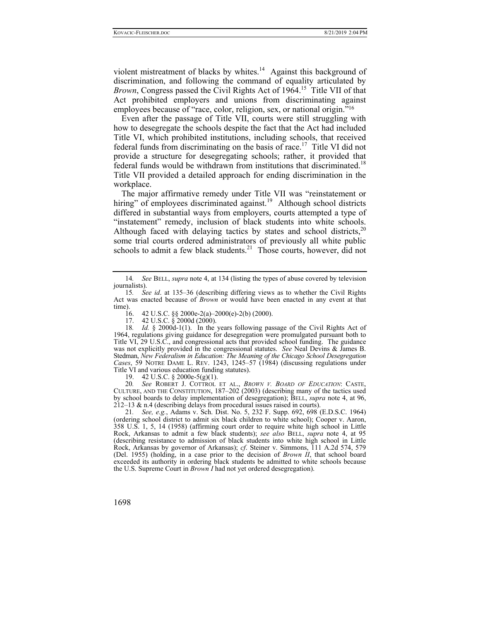violent mistreatment of blacks by whites.<sup>14</sup> Against this background of discrimination, and following the command of equality articulated by *Brown*, Congress passed the Civil Rights Act of 1964.<sup>15</sup> Title VII of that Act prohibited employers and unions from discriminating against employees because of "race, color, religion, sex, or national origin."16

Even after the passage of Title VII, courts were still struggling with how to desegregate the schools despite the fact that the Act had included Title VI, which prohibited institutions, including schools, that received federal funds from discriminating on the basis of race.<sup>17</sup> Title VI did not provide a structure for desegregating schools; rather, it provided that federal funds would be withdrawn from institutions that discriminated.<sup>18</sup> Title VII provided a detailed approach for ending discrimination in the workplace.

The major affirmative remedy under Title VII was "reinstatement or hiring" of employees discriminated against.<sup>19</sup> Although school districts differed in substantial ways from employers, courts attempted a type of "instatement" remedy, inclusion of black students into white schools. Although faced with delaying tactics by states and school districts,  $20$ some trial courts ordered administrators of previously all white public schools to admit a few black students.<sup>21</sup> Those courts, however, did not

16. 42 U.S.C. §§ 2000e-2(a)–2000(e)-2(b) (2000).

17. 42 U.S.C. § 2000d (2000).

19. 42 U.S.C. § 2000e-5(g)(1).

20*. See* ROBERT J. COTTROL ET AL., *BROWN V. BOARD OF EDUCATION*: CASTE, CULTURE, AND THE CONSTITUTION, 187–202 (2003) (describing many of the tactics used by school boards to delay implementation of desegregation); BELL, *supra* note 4, at 96, 212–13 & n.4 (describing delays from procedural issues raised in courts).

21*. See, e.g.*, Adams v. Sch. Dist. No. 5, 232 F. Supp. 692, 698 (E.D.S.C. 1964) (ordering school district to admit six black children to white school); Cooper v. Aaron, 358 U.S. 1, 5, 14 (1958) (affirming court order to require white high school in Little Rock, Arkansas to admit a few black students); *see also* BELL, *supra* note 4, at 95 (describing resistance to admission of black students into white high school in Little Rock, Arkansas by governor of Arkansas); *cf*. Steiner v. Simmons, 111 A.2d 574, 579 (Del. 1955) (holding, in a case prior to the decision of *Brown II*, that school board exceeded its authority in ordering black students be admitted to white schools because the U.S. Supreme Court in *Brown I* had not yet ordered desegregation).

<sup>14</sup>*. See* BELL, *supra* note 4, at 134 (listing the types of abuse covered by television journalists).

<sup>15</sup>*. See id*. at 135–36 (describing differing views as to whether the Civil Rights Act was enacted because of *Brown* or would have been enacted in any event at that time).

<sup>18</sup>*. Id.* § 2000d-1(1). In the years following passage of the Civil Rights Act of 1964, regulations giving guidance for desegregation were promulgated pursuant both to Title VI, 29 U.S.C., and congressional acts that provided school funding. The guidance was not explicitly provided in the congressional statutes. *See* Neal Devins & James B. Stedman, *New Federalism in Education: The Meaning of the Chicago School Desegregation Cases*, 59 NOTRE DAME L. REV. 1243, 1245–57 (1984) (discussing regulations under Title VI and various education funding statutes).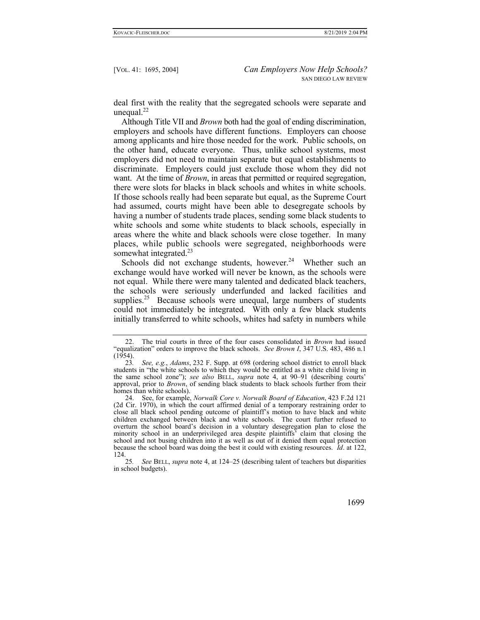deal first with the reality that the segregated schools were separate and unequal.<sup>22</sup>

Although Title VII and *Brown* both had the goal of ending discrimination, employers and schools have different functions. Employers can choose among applicants and hire those needed for the work. Public schools, on the other hand, educate everyone. Thus, unlike school systems, most employers did not need to maintain separate but equal establishments to discriminate. Employers could just exclude those whom they did not want. At the time of *Brown*, in areas that permitted or required segregation, there were slots for blacks in black schools and whites in white schools. If those schools really had been separate but equal, as the Supreme Court had assumed, courts might have been able to desegregate schools by having a number of students trade places, sending some black students to white schools and some white students to black schools, especially in areas where the white and black schools were close together. In many places, while public schools were segregated, neighborhoods were somewhat integrated.<sup>23</sup>

Schools did not exchange students, however. $24$  Whether such an exchange would have worked will never be known, as the schools were not equal. While there were many talented and dedicated black teachers, the schools were seriously underfunded and lacked facilities and supplies.<sup>25</sup> Because schools were unequal, large numbers of students could not immediately be integrated. With only a few black students initially transferred to white schools, whites had safety in numbers while

 <sup>22.</sup> The trial courts in three of the four cases consolidated in *Brown* had issued "equalization" orders to improve the black schools. *See Brown I*, 347 U.S. 483, 486 n.1  $(1954).$ 

<sup>23</sup>*. See, e.g.*, *Adams*, 232 F. Supp. at 698 (ordering school district to enroll black students in "the white schools to which they would be entitled as a white child living in the same school zone"); *see also* BELL, *supra* note 4, at 90–91 (describing courts' approval, prior to *Brown*, of sending black students to black schools further from their homes than white schools).

 <sup>24.</sup> See, for example, *Norwalk Core v. Norwalk Board of Education*, 423 F.2d 121 (2d Cir. 1970), in which the court affirmed denial of a temporary restraining order to close all black school pending outcome of plaintiff's motion to have black and white children exchanged between black and white schools. The court further refused to overturn the school board's decision in a voluntary desegregation plan to close the minority school in an underprivileged area despite plaintiffs' claim that closing the school and not busing children into it as well as out of it denied them equal protection because the school board was doing the best it could with existing resources. *Id*. at 122,  $124.$ <br>25.

<sup>25</sup>*. See* BELL, *supra* note 4, at 124–25 (describing talent of teachers but disparities in school budgets).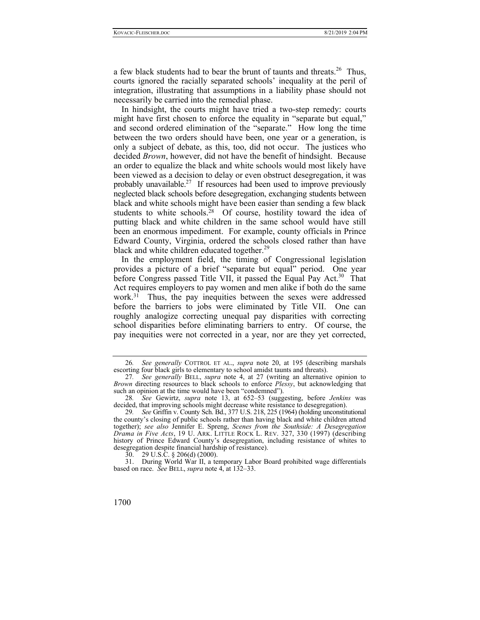a few black students had to bear the brunt of taunts and threats.<sup>26</sup> Thus, courts ignored the racially separated schools' inequality at the peril of integration, illustrating that assumptions in a liability phase should not necessarily be carried into the remedial phase.

In hindsight, the courts might have tried a two-step remedy: courts might have first chosen to enforce the equality in "separate but equal," and second ordered elimination of the "separate." How long the time between the two orders should have been, one year or a generation, is only a subject of debate, as this, too, did not occur. The justices who decided *Brown*, however, did not have the benefit of hindsight. Because an order to equalize the black and white schools would most likely have been viewed as a decision to delay or even obstruct desegregation, it was probably unavailable.<sup>27</sup> If resources had been used to improve previously neglected black schools before desegregation, exchanging students between black and white schools might have been easier than sending a few black students to white schools.<sup>28</sup> Of course, hostility toward the idea of putting black and white children in the same school would have still been an enormous impediment. For example, county officials in Prince Edward County, Virginia, ordered the schools closed rather than have black and white children educated together.<sup>29</sup>

In the employment field, the timing of Congressional legislation provides a picture of a brief "separate but equal" period. One year before Congress passed Title VII, it passed the Equal Pay Act.<sup>30</sup> That Act requires employers to pay women and men alike if both do the same work.31 Thus, the pay inequities between the sexes were addressed before the barriers to jobs were eliminated by Title VII. One can roughly analogize correcting unequal pay disparities with correcting school disparities before eliminating barriers to entry. Of course, the pay inequities were not corrected in a year, nor are they yet corrected,

<sup>26</sup>*. See generally* COTTROL ET AL., *supra* note 20, at 195 (describing marshals escorting four black girls to elementary to school amidst taunts and threats).

<sup>27</sup>*. See generally* BELL, *supra* note 4, at 27 (writing an alternative opinion to *Brown* directing resources to black schools to enforce *Plessy*, but acknowledging that such an opinion at the time would have been "condemned").

<sup>28</sup>*. See* Gewirtz, *supra* note 13, at 652–53 (suggesting, before *Jenkins* was decided, that improving schools might decrease white resistance to desegregation).

<sup>29</sup>*. See* Griffin v. County Sch. Bd., 377 U.S. 218, 225 (1964) (holding unconstitutional the county's closing of public schools rather than having black and white children attend together); *see also* Jennifer E. Spreng, *Scenes from the Southside: A Desegregation Drama in Five Acts*, 19 U. ARK. LITTLE ROCK L. REV. 327, 330 (1997) (describing history of Prince Edward County's desegregation, including resistance of whites to desegregation despite financial hardship of resistance).

 <sup>30. 29</sup> U.S.C. § 206(d) (2000).

 <sup>31.</sup> During World War II, a temporary Labor Board prohibited wage differentials based on race. *See* BELL, *supra* note 4, at 132–33.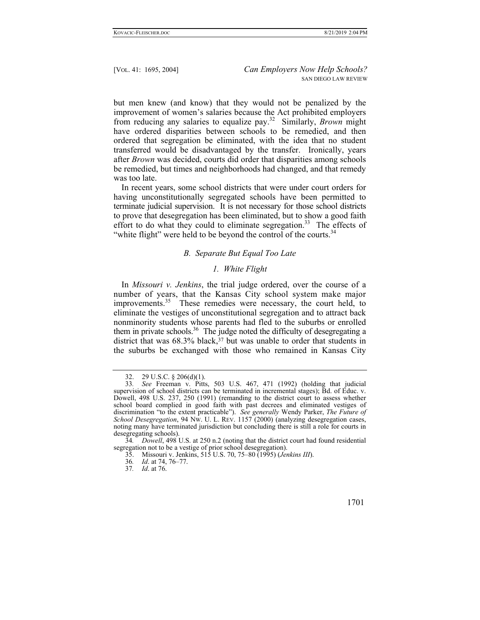but men knew (and know) that they would not be penalized by the improvement of women's salaries because the Act prohibited employers from reducing any salaries to equalize pay.32 Similarly, *Brown* might have ordered disparities between schools to be remedied, and then ordered that segregation be eliminated, with the idea that no student transferred would be disadvantaged by the transfer. Ironically, years after *Brown* was decided, courts did order that disparities among schools be remedied, but times and neighborhoods had changed, and that remedy was too late.

In recent years, some school districts that were under court orders for having unconstitutionally segregated schools have been permitted to terminate judicial supervision. It is not necessary for those school districts to prove that desegregation has been eliminated, but to show a good faith effort to do what they could to eliminate segregation.<sup>33</sup> The effects of "white flight" were held to be beyond the control of the courts.<sup>34</sup>

#### *B. Separate But Equal Too Late*

## *1. White Flight*

In *Missouri v. Jenkins*, the trial judge ordered, over the course of a number of years, that the Kansas City school system make major improvements.<sup>35</sup> These remedies were necessary, the court held, to eliminate the vestiges of unconstitutional segregation and to attract back nonminority students whose parents had fled to the suburbs or enrolled them in private schools.<sup>36</sup> The judge noted the difficulty of desegregating a district that was  $68.3\%$  black,  $37$  but was unable to order that students in the suburbs be exchanged with those who remained in Kansas City

 <sup>32. 29</sup> U.S.C. § 206(d)(1).

<sup>33</sup>*. See* Freeman v. Pitts, 503 U.S. 467, 471 (1992) (holding that judicial supervision of school districts can be terminated in incremental stages); Bd. of Educ. v. Dowell, 498 U.S. 237, 250 (1991) (remanding to the district court to assess whether school board complied in good faith with past decrees and eliminated vestiges of discrimination "to the extent practicable"). *See generally* Wendy Parker, *The Future of School Desegregation*, 94 NW. U. L. REV. 1157 (2000) (analyzing desegregation cases, noting many have terminated jurisdiction but concluding there is still a role for courts in desegregating schools).

<sup>34</sup>*. Dowell*, 498 U.S. at 250 n.2 (noting that the district court had found residential segregation not to be a vestige of prior school desegregation).

 <sup>35.</sup> Missouri v. Jenkins, 515 U.S. 70, 75–80 (1995) (*Jenkins III*).

<sup>36</sup>*. Id*. at 74, 76–77.

<sup>37</sup>*. Id*. at 76.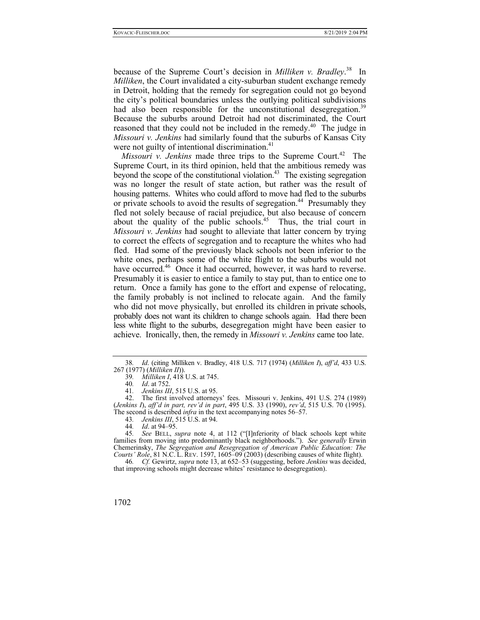because of the Supreme Court's decision in *Milliken v. Bradley*. 38 In *Milliken*, the Court invalidated a city-suburban student exchange remedy in Detroit, holding that the remedy for segregation could not go beyond the city's political boundaries unless the outlying political subdivisions had also been responsible for the unconstitutional desegregation.<sup>39</sup> Because the suburbs around Detroit had not discriminated, the Court reasoned that they could not be included in the remedy.<sup>40</sup> The judge in *Missouri v. Jenkins* had similarly found that the suburbs of Kansas City were not guilty of intentional discrimination.<sup>41</sup>

*Missouri v. Jenkins* made three trips to the Supreme Court.<sup>42</sup> The Supreme Court, in its third opinion, held that the ambitious remedy was beyond the scope of the constitutional violation.<sup>43</sup> The existing segregation was no longer the result of state action, but rather was the result of housing patterns. Whites who could afford to move had fled to the suburbs or private schools to avoid the results of segregation.<sup>44</sup> Presumably they fled not solely because of racial prejudice, but also because of concern about the quality of the public schools.<sup>45</sup> Thus, the trial court in *Missouri v. Jenkins* had sought to alleviate that latter concern by trying to correct the effects of segregation and to recapture the whites who had fled. Had some of the previously black schools not been inferior to the white ones, perhaps some of the white flight to the suburbs would not have occurred.<sup>46</sup> Once it had occurred, however, it was hard to reverse. Presumably it is easier to entice a family to stay put, than to entice one to return. Once a family has gone to the effort and expense of relocating, the family probably is not inclined to relocate again. And the family who did not move physically, but enrolled its children in private schools, probably does not want its children to change schools again. Had there been less white flight to the suburbs, desegregation might have been easier to achieve. Ironically, then, the remedy in *Missouri v. Jenkins* came too late.

 42. The first involved attorneys' fees. Missouri v. Jenkins, 491 U.S. 274 (1989) (*Jenkins I*), *aff'd in part, rev'd in part*, 495 U.S. 33 (1990), *rev'd*, 515 U.S. 70 (1995). The second is described *infra* in the text accompanying notes 56–57.

43*. Jenkins III*, 515 U.S. at 94.

<sup>38</sup>*. Id*. (citing Milliken v. Bradley, 418 U.S. 717 (1974) (*Milliken I*), *aff'd*, 433 U.S. 267 (1977) (*Milliken II*)).

<sup>39</sup>*. Milliken I*, 418 U.S. at 745.

<sup>40</sup>*. Id*. at 752.

<sup>41</sup>*. Jenkins III*, 515 U.S. at 95.

<sup>44</sup>*. Id*. at 94–95.

<sup>45</sup>*. See* BELL, *supra* note 4, at 112 ("[I]nferiority of black schools kept white families from moving into predominantly black neighborhoods."). *See generally* Erwin Chemerinsky, *The Segregation and Resegregation of American Public Education: The Courts' Role*, 81 N.C. L. REV. 1597, 1605–09 (2003) (describing causes of white flight).

<sup>46</sup>*. Cf.* Gewirtz, *supra* note 13, at 652–53 (suggesting, before *Jenkins* was decided, that improving schools might decrease whites' resistance to desegregation).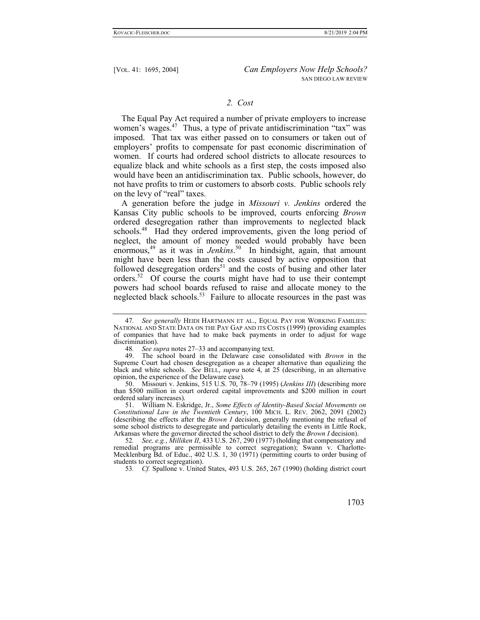#### *2. Cost*

The Equal Pay Act required a number of private employers to increase women's wages.<sup>47</sup> Thus, a type of private antidiscrimination "tax" was imposed. That tax was either passed on to consumers or taken out of employers' profits to compensate for past economic discrimination of women. If courts had ordered school districts to allocate resources to equalize black and white schools as a first step, the costs imposed also would have been an antidiscrimination tax. Public schools, however, do not have profits to trim or customers to absorb costs. Public schools rely on the levy of "real" taxes.

A generation before the judge in *Missouri v. Jenkins* ordered the Kansas City public schools to be improved, courts enforcing *Brown* ordered desegregation rather than improvements to neglected black schools.<sup>48</sup> Had they ordered improvements, given the long period of neglect, the amount of money needed would probably have been enormous,49 as it was in *Jenkins*. 50 In hindsight, again, that amount might have been less than the costs caused by active opposition that followed desegregation orders $51$  and the costs of busing and other later orders.52 Of course the courts might have had to use their contempt powers had school boards refused to raise and allocate money to the neglected black schools.<sup>53</sup> Failure to allocate resources in the past was

<sup>47</sup>*. See generally* HEIDI HARTMANN ET AL., EQUAL PAY FOR WORKING FAMILIES: NATIONAL AND STATE DATA ON THE PAY GAP AND ITS COSTS (1999) (providing examples of companies that have had to make back payments in order to adjust for wage discrimination).

<sup>48</sup>*. See supra* notes 27–33 and accompanying text.

 <sup>49.</sup> The school board in the Delaware case consolidated with *Brown* in the Supreme Court had chosen desegregation as a cheaper alternative than equalizing the black and white schools. *See* BELL, *supra* note 4, at 25 (describing, in an alternative opinion, the experience of the Delaware case).

 <sup>50.</sup> Missouri v. Jenkins, 515 U.S. 70, 78–79 (1995) (*Jenkins III*) (describing more than \$500 million in court ordered capital improvements and \$200 million in court ordered salary increases).

 <sup>51.</sup> William N. Eskridge, Jr., *Some Effects of Identity-Based Social Movements on Constitutional Law in the Twentieth Century*, 100 MICH. L. REV. 2062, 2091 (2002) (describing the effects after the *Brown I* decision, generally mentioning the refusal of some school districts to desegregate and particularly detailing the events in Little Rock, Arkansas where the governor directed the school district to defy the *Brown I* decision).

<sup>52</sup>*. See, e.g.*, *Milliken II*, 433 U.S. 267, 290 (1977) (holding that compensatory and remedial programs are permissible to correct segregation); Swann v. Charlotte-Mecklenburg Bd. of Educ., 402 U.S. 1, 30 (1971) (permitting courts to order busing of students to correct segregation).

<sup>53</sup>*. Cf.* Spallone v. United States, 493 U.S. 265, 267 (1990) (holding district court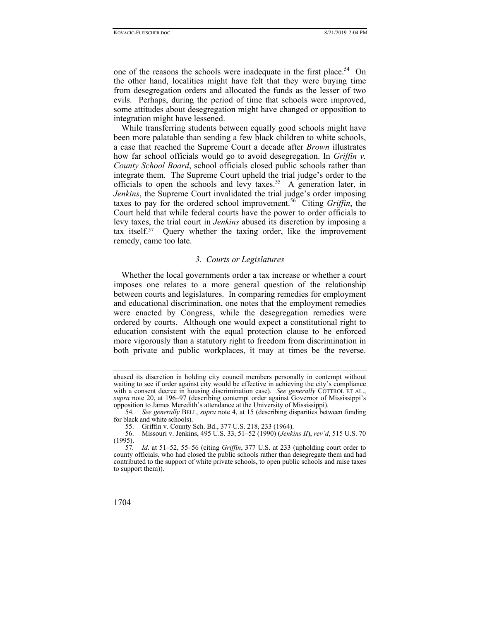one of the reasons the schools were inadequate in the first place.<sup>54</sup> On the other hand, localities might have felt that they were buying time from desegregation orders and allocated the funds as the lesser of two evils. Perhaps, during the period of time that schools were improved, some attitudes about desegregation might have changed or opposition to integration might have lessened.

While transferring students between equally good schools might have been more palatable than sending a few black children to white schools, a case that reached the Supreme Court a decade after *Brown* illustrates how far school officials would go to avoid desegregation. In *Griffin v. County School Board*, school officials closed public schools rather than integrate them. The Supreme Court upheld the trial judge's order to the officials to open the schools and levy taxes.<sup>55</sup> A generation later, in *Jenkins*, the Supreme Court invalidated the trial judge's order imposing taxes to pay for the ordered school improvement.56 Citing *Griffin*, the Court held that while federal courts have the power to order officials to levy taxes, the trial court in *Jenkins* abused its discretion by imposing a tax itself.57 Query whether the taxing order, like the improvement remedy, came too late.

#### *3. Courts or Legislatures*

Whether the local governments order a tax increase or whether a court imposes one relates to a more general question of the relationship between courts and legislatures. In comparing remedies for employment and educational discrimination, one notes that the employment remedies were enacted by Congress, while the desegregation remedies were ordered by courts. Although one would expect a constitutional right to education consistent with the equal protection clause to be enforced more vigorously than a statutory right to freedom from discrimination in both private and public workplaces, it may at times be the reverse.

abused its discretion in holding city council members personally in contempt without waiting to see if order against city would be effective in achieving the city's compliance with a consent decree in housing discrimination case). *See generally* COTTROL ET AL., *supra* note 20, at 196–97 (describing contempt order against Governor of Mississippi's opposition to James Meredith's attendance at the University of Mississippi).

<sup>54</sup>*. See generally* BELL, *supra* note 4, at 15 (describing disparities between funding for black and white schools).

 <sup>55.</sup> Griffin v. County Sch. Bd., 377 U.S. 218, 233 (1964).

 <sup>56.</sup> Missouri v. Jenkins, 495 U.S. 33, 51–52 (1990) (*Jenkins II*), *rev'd*, 515 U.S. 70  $(1995).$ <br>57.

Id. at 51–52, 55–56 (citing *Griffin*, 377 U.S. at 233 (upholding court order to county officials, who had closed the public schools rather than desegregate them and had contributed to the support of white private schools, to open public schools and raise taxes to support them)).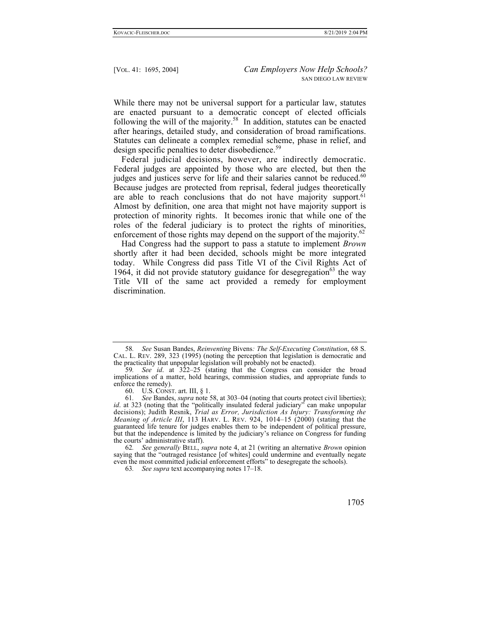While there may not be universal support for a particular law, statutes are enacted pursuant to a democratic concept of elected officials following the will of the majority.<sup>58</sup> In addition, statutes can be enacted after hearings, detailed study, and consideration of broad ramifications. Statutes can delineate a complex remedial scheme, phase in relief, and design specific penalties to deter disobedience.<sup>59</sup>

Federal judicial decisions, however, are indirectly democratic. Federal judges are appointed by those who are elected, but then the judges and justices serve for life and their salaries cannot be reduced. $60$ Because judges are protected from reprisal, federal judges theoretically are able to reach conclusions that do not have majority support.<sup>61</sup> Almost by definition, one area that might not have majority support is protection of minority rights. It becomes ironic that while one of the roles of the federal judiciary is to protect the rights of minorities, enforcement of those rights may depend on the support of the majority.<sup>62</sup>

Had Congress had the support to pass a statute to implement *Brown* shortly after it had been decided, schools might be more integrated today. While Congress did pass Title VI of the Civil Rights Act of 1964, it did not provide statutory guidance for desegregation<sup>63</sup> the way Title VII of the same act provided a remedy for employment discrimination.

<sup>58</sup>*. See* Susan Bandes, *Reinventing* Bivens*: The Self-Executing Constitution*, 68 S. CAL. L. REV. 289, 323 (1995) (noting the perception that legislation is democratic and the practicality that unpopular legislation will probably not be enacted).

<sup>59</sup>*. See id*. at 322–25 (stating that the Congress can consider the broad implications of a matter, hold hearings, commission studies, and appropriate funds to enforce the remedy).

 <sup>60.</sup> U.S. CONST. art. III, § 1.

<sup>61</sup>*. See* Bandes, *supra* note 58, at 303–04 (noting that courts protect civil liberties); *id*. at 323 (noting that the "politically insulated federal judiciary" can make unpopular decisions); Judith Resnik, *Trial as Error, Jurisdiction As Injury: Transforming the Meaning of Article III*, 113 HARV. L. REV. 924, 1014–15 (2000) (stating that the guaranteed life tenure for judges enables them to be independent of political pressure, but that the independence is limited by the judiciary's reliance on Congress for funding the courts' administrative staff).

<sup>62</sup>*. See generally* BELL, *supra* note 4, at 21 (writing an alternative *Brown* opinion saying that the "outraged resistance [of whites] could undermine and eventually negate even the most committed judicial enforcement efforts" to desegregate the schools).

<sup>63</sup>*. See supra* text accompanying notes 17–18.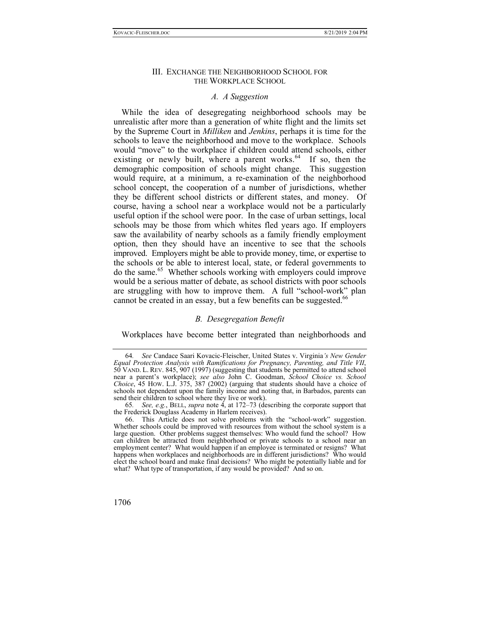## III. EXCHANGE THE NEIGHBORHOOD SCHOOL FOR THE WORKPLACE SCHOOL

#### *A. A Suggestion*

While the idea of desegregating neighborhood schools may be unrealistic after more than a generation of white flight and the limits set by the Supreme Court in *Milliken* and *Jenkins*, perhaps it is time for the schools to leave the neighborhood and move to the workplace. Schools would "move" to the workplace if children could attend schools, either existing or newly built, where a parent works. $^{64}$  If so, then the demographic composition of schools might change. This suggestion would require, at a minimum, a re-examination of the neighborhood school concept, the cooperation of a number of jurisdictions, whether they be different school districts or different states, and money. Of course, having a school near a workplace would not be a particularly useful option if the school were poor. In the case of urban settings, local schools may be those from which whites fled years ago. If employers saw the availability of nearby schools as a family friendly employment option, then they should have an incentive to see that the schools improved. Employers might be able to provide money, time, or expertise to the schools or be able to interest local, state, or federal governments to do the same.65 Whether schools working with employers could improve would be a serious matter of debate, as school districts with poor schools are struggling with how to improve them. A full "school-work" plan cannot be created in an essay, but a few benefits can be suggested.<sup>66</sup>

## *B. Desegregation Benefit*

Workplaces have become better integrated than neighborhoods and

 <sup>66.</sup> This Article does not solve problems with the "school-work" suggestion. Whether schools could be improved with resources from without the school system is a large question. Other problems suggest themselves: Who would fund the school? How can children be attracted from neighborhood or private schools to a school near an employment center? What would happen if an employee is terminated or resigns? What happens when workplaces and neighborhoods are in different jurisdictions? Who would elect the school board and make final decisions? Who might be potentially liable and for what? What type of transportation, if any would be provided? And so on.



<sup>64</sup>*. See* Candace Saari Kovacic-Fleischer, United States v. Virginia*'s New Gender Equal Protection Analysis with Ramifications for Pregnancy, Parenting, and Title VII*, 50 VAND. L. REV. 845, 907 (1997) (suggesting that students be permitted to attend school near a parent's workplace); *see also* John C. Goodman, *School Choice vs. School Choice*, 45 HOW. L.J. 375, 387 (2002) (arguing that students should have a choice of schools not dependent upon the family income and noting that, in Barbados, parents can send their children to school where they live or work).

<sup>65</sup>*. See, e.g.*, BELL, *supra* note 4, at 172–73 (describing the corporate support that the Frederick Douglass Academy in Harlem receives).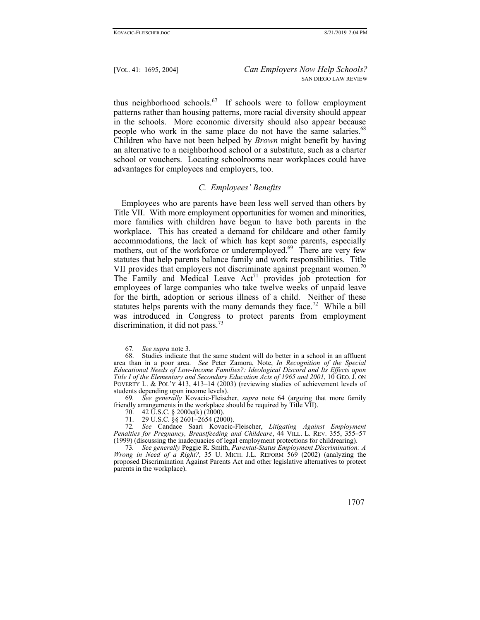thus neighborhood schools.67 If schools were to follow employment patterns rather than housing patterns, more racial diversity should appear in the schools. More economic diversity should also appear because people who work in the same place do not have the same salaries.<sup>68</sup> Children who have not been helped by *Brown* might benefit by having an alternative to a neighborhood school or a substitute, such as a charter school or vouchers. Locating schoolrooms near workplaces could have advantages for employees and employers, too.

## *C. Employees' Benefits*

Employees who are parents have been less well served than others by Title VII. With more employment opportunities for women and minorities, more families with children have begun to have both parents in the workplace. This has created a demand for childcare and other family accommodations, the lack of which has kept some parents, especially mothers, out of the workforce or underemployed.<sup>69</sup> There are very few statutes that help parents balance family and work responsibilities. Title VII provides that employers not discriminate against pregnant women.<sup>70</sup> The Family and Medical Leave  $Act^{71}$  provides job protection for employees of large companies who take twelve weeks of unpaid leave for the birth, adoption or serious illness of a child. Neither of these statutes helps parents with the many demands they face.<sup>72</sup> While a bill was introduced in Congress to protect parents from employment discrimination, it did not pass.<sup>73</sup>

<sup>67</sup>*. See supra* note 3.

 <sup>68.</sup> Studies indicate that the same student will do better in a school in an affluent area than in a poor area. *See* Peter Zamora, Note, *In Recognition of the Special Educational Needs of Low-Income Families?: Ideological Discord and Its Effects upon Title I of the Elementary and Secondary Education Acts of 1965 and 2001*, 10 GEO. J. ON POVERTY L. & POL'Y 413, 413–14 (2003) (reviewing studies of achievement levels of students depending upon income levels).

<sup>69</sup>*. See generally* Kovacic-Fleischer, *supra* note 64 (arguing that more family friendly arrangements in the workplace should be required by Title VII).

 <sup>70. 42</sup> U.S.C. § 2000e(k) (2000).

<sup>71. 29</sup> U.S.C. §§ 2601–2654 (2000).

<sup>72</sup>*. See* Candace Saari Kovacic-Fleischer, *Litigating Against Employment Penalties for Pregnancy, Breastfeeding and Childcare*, 44 VILL. L. REV. 355, 355–57 (1999) (discussing the inadequacies of legal employment protections for childrearing).

<sup>73</sup>*. See generally* Peggie R. Smith, *Parental-Status Employment Discrimination: A Wrong in Need of a Right?*, 35 U. MICH. J.L. REFORM 569 (2002) (analyzing the proposed Discrimination Against Parents Act and other legislative alternatives to protect parents in the workplace).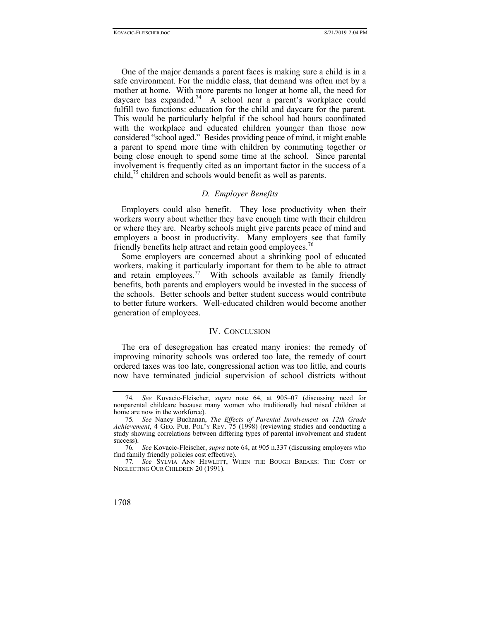One of the major demands a parent faces is making sure a child is in a safe environment. For the middle class, that demand was often met by a mother at home. With more parents no longer at home all, the need for daycare has expanded.<sup>74</sup> A school near a parent's workplace could fulfill two functions: education for the child and daycare for the parent. This would be particularly helpful if the school had hours coordinated with the workplace and educated children younger than those now considered "school aged." Besides providing peace of mind, it might enable a parent to spend more time with children by commuting together or being close enough to spend some time at the school. Since parental involvement is frequently cited as an important factor in the success of a child,<sup>75</sup> children and schools would benefit as well as parents.

## *D. Employer Benefits*

Employers could also benefit. They lose productivity when their workers worry about whether they have enough time with their children or where they are. Nearby schools might give parents peace of mind and employers a boost in productivity. Many employers see that family friendly benefits help attract and retain good employees.<sup>76</sup>

Some employers are concerned about a shrinking pool of educated workers, making it particularly important for them to be able to attract and retain employees.<sup>77</sup> With schools available as family friendly benefits, both parents and employers would be invested in the success of the schools. Better schools and better student success would contribute to better future workers. Well-educated children would become another generation of employees.

#### IV. CONCLUSION

The era of desegregation has created many ironies: the remedy of improving minority schools was ordered too late, the remedy of court ordered taxes was too late, congressional action was too little, and courts now have terminated judicial supervision of school districts without

<sup>77</sup>*. See* SYLVIA ANN HEWLETT, WHEN THE BOUGH BREAKS: THE COST OF NEGLECTING OUR CHILDREN 20 (1991).



See Kovacic-Fleischer, *supra* note 64, at 905–07 (discussing need for nonparental childcare because many women who traditionally had raised children at home are now in the workforce).

<sup>75</sup>*. See* Nancy Buchanan, *The Effects of Parental Involvement on 12th Grade Achievement*, 4 GEO. PUB. POL'Y REV. 75 (1998) (reviewing studies and conducting a study showing correlations between differing types of parental involvement and student success).

<sup>76</sup>*. See* Kovacic-Fleischer, *supra* note 64, at 905 n.337 (discussing employers who find family friendly policies cost effective).